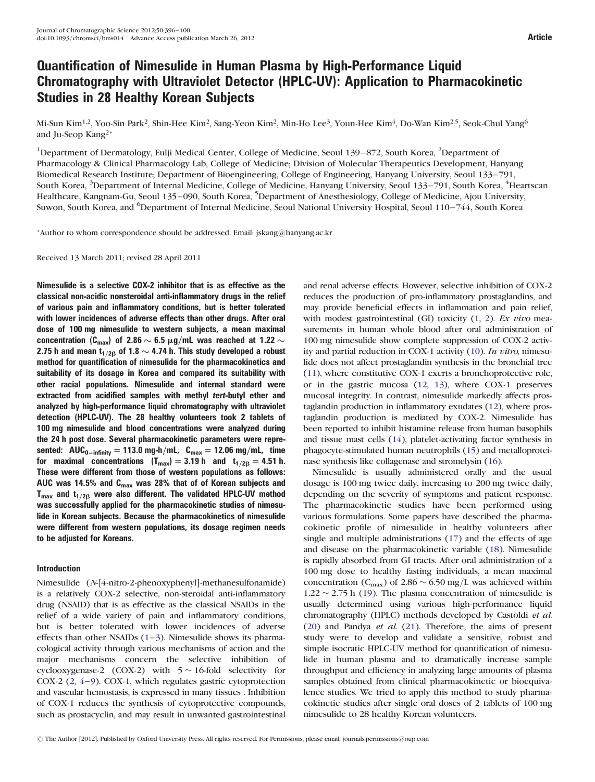# Quantification of Nimesulide in Human Plasma by High-Performance Liquid Chromatography with Ultraviolet Detector (HPLC-UV): Application to Pharmacokinetic Studies in 28 Healthy Korean Subjects

Mi-Sun Kim<sup>1,2</sup>, Yoo-Sin Park<sup>2</sup>, Shin-Hee Kim<sup>2</sup>, Sang-Yeon Kim<sup>2</sup>, Min-Ho Lee<sup>3</sup>, Youn-Hee Kim<sup>4</sup>, Do-Wan Kim<sup>2,5</sup>, Seok-Chul Yang<sup>6</sup> and Ju-Seop Kang2\*

<sup>1</sup>Department of Dermatology, Eulji Medical Center, College of Medicine, Seoul 139–872, South Korea, <sup>2</sup>Department of Pharmacology & Clinical Pharmacology Lab, College of Medicine; Division of Molecular Therapeutics Development, Hanyang Biomedical Research Institute; Department of Bioengineering, College of Engineering, Hanyang University, Seoul 133–791, South Korea, <sup>3</sup>Department of Internal Medicine, College of Medicine, Hanyang University, Seoul 133–791, South Korea, <sup>4</sup>Heartscan Healthcare, Kangnam-Gu, Seoul 135–090, South Korea, <sup>5</sup>Department of Anesthesiology, College of Medicine, Ajou University, Suwon, South Korea, and <sup>6</sup>Department of Internal Medicine, Seoul National University Hospital, Seoul 110–744, South Korea

\*Author to whom correspondence should be addressed. Email: jskang@hanyang.ac.kr

Received 13 March 2011; revised 28 April 2011

Nimesulide is a selective COX-2 inhibitor that is as effective as the classical non-acidic nonsteroidal anti-inflammatory drugs in the relief of various pain and inflammatory conditions, but is better tolerated with lower incidences of adverse effects than other drugs. After oral dose of 100 mg nimesulide to western subjects, a mean maximal concentration (C<sub>max</sub>) of 2.86  $\sim$  6.5 µg/mL was reached at 1.22  $\sim$ 2.75 h and mean t<sub>1/26</sub> of 1.8  $\sim$  4.74 h. This study developed a robust method for quantification of nimesulide for the pharmacokinetics and suitability of its dosage in Korea and compared its suitability with other racial populations. Nimesulide and internal standard were extracted from acidified samples with methyl tert-butyl ether and analyzed by high-performance liquid chromatography with ultraviolet detection (HPLC-UV). The 28 healthy volunteers took 2 tablets of 100 mg nimesulide and blood concentrations were analyzed during the 24 h post dose. Several pharmacokinetic parameters were represented:  $AUC_{0-infinite} = 113.0$  mg-h/mL,  $C_{max} = 12.06$  mg/mL, time for maximal concentrations  $(T_{max}) = 3.19$  h and  $t_{1/2B} = 4.51$  h. These were different from those of western populations as follows: AUC was 14.5% and  $C_{\text{max}}$  was 28% that of of Korean subjects and  $T_{\text{max}}$  and  $t_{1/2B}$  were also different. The validated HPLC-UV method was successfully applied for the pharmacokinetic studies of nimesulide in Korean subjects. Because the pharmacokinetics of nimesulide were different from western populations, its dosage regimen needs to be adjusted for Koreans.

# Introduction

Nimesulide (N-[4-nitro-2-phenoxyphenyl]-methanesulfonamide) is a relatively COX-2 selective, non-steroidal anti-inflammatory drug (NSAID) that is as effective as the classical NSAIDs in the relief of a wide variety of pain and inflammatory conditions, but is better tolerated with lower incidences of adverse effects than other NSAIDs  $(1-3)$  $(1-3)$  $(1-3)$  $(1-3)$  $(1-3)$ . Nimesulide shows its pharmacological activity through various mechanisms of action and the major mechanisms concern the selective inhibition of cyclooxygenase-2  $(COX-2)$  with  $5 \sim 16$ -fold selectivity for COX-2 ([2](#page-4-0), [4](#page-4-0)–[9](#page-4-0)). COX-1, which regulates gastric cytoprotection and vascular hemostasis, is expressed in many tissues . Inhibition of COX-1 reduces the synthesis of cytoprotective compounds, such as prostacyclin, and may result in unwanted gastrointestinal and renal adverse effects. However, selective inhibition of COX-2 reduces the production of pro-inflammatory prostaglandins, and may provide beneficial effects in inflammation and pain relief, with modest gastrointestinal (GI) toxicity  $(1, 2)$  $(1, 2)$  $(1, 2)$  $(1, 2)$  $(1, 2)$ . Ex vivo measurements in human whole blood after oral administration of 100 mg nimesulide show complete suppression of COX-2 activity and partial reduction in COX-1 activity ([10](#page-4-0)). In vitro, nimesulide does not affect prostaglandin synthesis in the bronchial tree [\(11\)](#page-4-0), where constitutive COX-1 exerts a bronchoprotective role, or in the gastric mucosa ([12](#page-4-0), [13](#page-4-0)), where COX-1 preserves mucosal integrity. In contrast, nimesulide markedly affects prostaglandin production in inflammatory exudates [\(12\)](#page-4-0), where prostaglandin production is mediated by COX-2. Nimesulide has been reported to inhibit histamine release from human basophils and tissue mast cells [\(14\)](#page-4-0), platelet-activating factor synthesis in phagocyte-stimulated human neutrophils ([15](#page-4-0)) and metalloproteinase synthesis like collagenase and stromelysin [\(16\)](#page-4-0).

Nimesulide is usually administered orally and the usual dosage is 100 mg twice daily, increasing to 200 mg twice daily, depending on the severity of symptoms and patient response. The pharmacokinetic studies have been performed using various formulations. Some papers have described the pharmacokinetic profile of nimesulide in healthy volunteers after single and multiple administrations [\(17\)](#page-4-0) and the effects of age and disease on the pharmacokinetic variable ([18\)](#page-4-0). Nimesulide is rapidly absorbed from GI tracts. After oral administration of a 100 mg dose to healthy fasting individuals, a mean maximal concentration ( $C_{\text{max}}$ ) of 2.86 ~ 6.50 mg/L was achieved within  $1.22 \sim 2.75$  h ([19\)](#page-4-0). The plasma concentration of nimesulide is usually determined using various high-performance liquid chromatography (HPLC) methods developed by Castoldi et al. [\(20](#page-4-0)) and Pandya et al. ([21\)](#page-4-0). Therefore, the aims of present study were to develop and validate a sensitive, robust and simple isocratic HPLC-UV method for quantification of nimesulide in human plasma and to dramatically increase sample throughput and efficiency in analyzing large amounts of plasma samples obtained from clinical pharmacokinetic or bioequivalence studies. We tried to apply this method to study pharmacokinetic studies after single oral doses of 2 tablets of 100 mg nimesulide to 28 healthy Korean volunteers.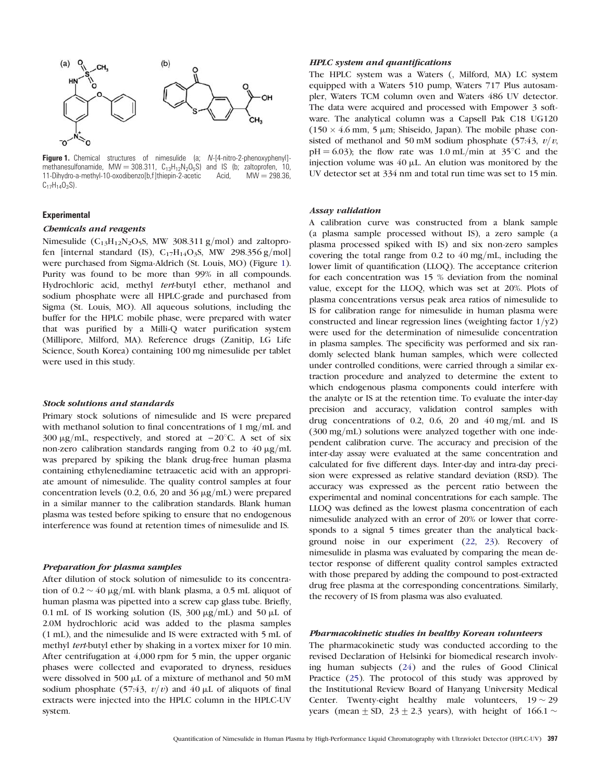<span id="page-1-0"></span>

Figure 1. Chemical structures of nimesulide (a; N-[4-nitro-2-phenoxyphenyl]methanesulfonamide, MW = 308.311,  $C_{13}H_{12}N_2O_5S$ ) and IS (b; zaltoprofen, 10, 11-Dihydro-a-methyl-10-oxodibenzo[b,f]thiepin-2-acetic Acid, MW = 298.36, 11-Dihydro-a-methyl-10-oxodibenzo[b,f]thiepin-2-acetic  $C_{17}H_{14}O_3S$ ).

## Experimental

## Chemicals and reagents

Nimesulide ( $C_{13}H_{12}N_2O_5S$ , MW 308.311 g/mol) and zaltoprofen [internal standard (IS),  $C_{17}H_{14}O_3S$ , MW 298.356 g/mol] were purchased from Sigma-Aldrich (St. Louis, MO) (Figure 1). Purity was found to be more than 99% in all compounds. Hydrochloric acid, methyl tert-butyl ether, methanol and sodium phosphate were all HPLC-grade and purchased from Sigma (St. Louis, MO). All aqueous solutions, including the buffer for the HPLC mobile phase, were prepared with water that was purified by a Milli-Q water purification system (Millipore, Milford, MA). Reference drugs (Zanitip, LG Life Science, South Korea) containing 100 mg nimesulide per tablet were used in this study.

#### Stock solutions and standards

Primary stock solutions of nimesulide and IS were prepared with methanol solution to final concentrations of 1 mg/mL and 300  $\mu$ g/mL, respectively, and stored at  $-20^{\circ}$ C. A set of six non-zero calibration standards ranging from 0.2 to  $40 \mu g/mL$ was prepared by spiking the blank drug-free human plasma containing ethylenediamine tetraacetic acid with an appropriate amount of nimesulide. The quality control samples at four concentration levels (0.2, 0.6, 20 and 36  $\mu$ g/mL) were prepared in a similar manner to the calibration standards. Blank human plasma was tested before spiking to ensure that no endogenous interference was found at retention times of nimesulide and IS.

## Preparation for plasma samples

After dilution of stock solution of nimesulide to its concentration of  $0.2 \sim 40 \text{ }\mu\text{g/mL}$  with blank plasma, a  $0.5 \text{ }\text{mL}$  aliquot of human plasma was pipetted into a screw cap glass tube. Briefly, 0.1 mL of IS working solution (IS, 300  $\mu$ g/mL) and 50  $\mu$ L of 2.0M hydrochloric acid was added to the plasma samples (1 mL), and the nimesulide and IS were extracted with 5 mL of methyl tert-butyl ether by shaking in a vortex mixer for 10 min. After centrifugation at 4,000 rpm for 5 min, the upper organic phases were collected and evaporated to dryness, residues were dissolved in 500  $\mu$ L of a mixture of methanol and 50 mM sodium phosphate (57:43,  $v/v$ ) and 40 µL of aliquots of final extracts were injected into the HPLC column in the HPLC-UV system.

## HPLC system and quantifications

The HPLC system was a Waters (, Milford, MA) LC system equipped with a Waters 510 pump, Waters 717 Plus autosampler, Waters TCM column oven and Waters 486 UV detector. The data were acquired and processed with Empower 3 software. The analytical column was a Capsell Pak C18 UG120  $(150 \times 4.6 \text{ mm}, 5 \text{ \mu m};$  Shiseido, Japan). The mobile phase consisted of methanol and 50 mM sodium phosphate (57:43,  $v/v$ ,  $pH = 6.03$ ); the flow rate was 1.0 mL/min at 35°C and the injection volume was  $40 \mu$ L. An elution was monitored by the UV detector set at 334 nm and total run time was set to 15 min.

## Assay validation

A calibration curve was constructed from a blank sample (a plasma sample processed without IS), a zero sample (a plasma processed spiked with IS) and six non-zero samples covering the total range from 0.2 to 40 mg/mL, including the lower limit of quantification (LLOQ). The acceptance criterion for each concentration was 15 % deviation from the nominal value, except for the LLOQ, which was set at 20%. Plots of plasma concentrations versus peak area ratios of nimesulide to IS for calibration range for nimesulide in human plasma were constructed and linear regression lines (weighting factor  $1/y2$ ) were used for the determination of nimesulide concentration in plasma samples. The specificity was performed and six randomly selected blank human samples, which were collected under controlled conditions, were carried through a similar extraction procedure and analyzed to determine the extent to which endogenous plasma components could interfere with the analyte or IS at the retention time. To evaluate the inter-day precision and accuracy, validation control samples with drug concentrations of 0.2, 0.6, 20 and 40 mg/mL and IS (300 mg/mL) solutions were analyzed together with one independent calibration curve. The accuracy and precision of the inter-day assay were evaluated at the same concentration and calculated for five different days. Inter-day and intra-day precision were expressed as relative standard deviation (RSD). The accuracy was expressed as the percent ratio between the experimental and nominal concentrations for each sample. The LLOQ was defined as the lowest plasma concentration of each nimesulide analyzed with an error of 20% or lower that corresponds to a signal 5 times greater than the analytical background noise in our experiment ([22](#page-4-0), [23\)](#page-4-0). Recovery of nimesulide in plasma was evaluated by comparing the mean detector response of different quality control samples extracted with those prepared by adding the compound to post-extracted drug free plasma at the corresponding concentrations. Similarly, the recovery of IS from plasma was also evaluated.

# Pharmacokinetic studies in healthy Korean volunteers

The pharmacokinetic study was conducted according to the revised Declaration of Helsinki for biomedical research involving human subjects ([24](#page-4-0)) and the rules of Good Clinical Practice ([25](#page-4-0)). The protocol of this study was approved by the Institutional Review Board of Hanyang University Medical Center. Twenty-eight healthy male volunteers,  $19 \sim 29$ years (mean  $\pm$  SD, 23  $\pm$  2.3 years), with height of 166.1  $\sim$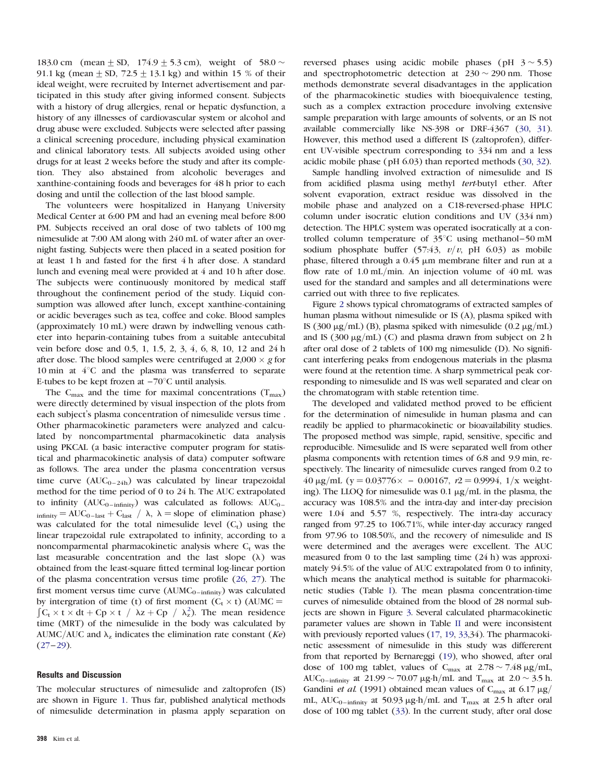183.0 cm (mean + SD, 174.9 + 5.3 cm), weight of  $58.0 \sim$ 91.1 kg (mean  $\pm$  SD, 72.5  $\pm$  13.1 kg) and within 15 % of their ideal weight, were recruited by Internet advertisement and participated in this study after giving informed consent. Subjects with a history of drug allergies, renal or hepatic dysfunction, a history of any illnesses of cardiovascular system or alcohol and drug abuse were excluded. Subjects were selected after passing a clinical screening procedure, including physical examination and clinical laboratory tests. All subjects avoided using other drugs for at least 2 weeks before the study and after its completion. They also abstained from alcoholic beverages and xanthine-containing foods and beverages for 48 h prior to each dosing and until the collection of the last blood sample.

The volunteers were hospitalized in Hanyang University Medical Center at 6:00 PM and had an evening meal before 8:00 PM. Subjects received an oral dose of two tablets of 100 mg nimesulide at 7:00 AM along with 240 mL of water after an overnight fasting. Subjects were then placed in a seated position for at least 1 h and fasted for the first 4 h after dose. A standard lunch and evening meal were provided at 4 and 10 h after dose. The subjects were continuously monitored by medical staff throughout the confinement period of the study. Liquid consumption was allowed after lunch, except xanthine-containing or acidic beverages such as tea, coffee and coke. Blood samples (approximately 10 mL) were drawn by indwelling venous catheter into heparin-containing tubes from a suitable antecubital vein before dose and 0.5, 1, 1.5, 2, 3, 4, 6, 8, 10, 12 and 24 h after dose. The blood samples were centrifuged at 2,000  $\times$  g for 10 min at  $4^{\circ}$ C and the plasma was transferred to separate E-tubes to be kept frozen at  $-70^{\circ}$ C until analysis.

The C<sub>max</sub> and the time for maximal concentrations ( $T_{\text{max}}$ ) were directly determined by visual inspection of the plots from each subject's plasma concentration of nimesulide versus time . Other pharmacokinetic parameters were analyzed and calculated by noncompartmental pharmacokinetic data analysis using PKCAL (a basic interactive computer program for statistical and pharmacokinetic analysis of data) computer software as follows. The area under the plasma concentration versus time curve  $(AUC_{0-24h})$  was calculated by linear trapezoidal method for the time period of 0 to 24 h. The AUC extrapolated to infinity  $(AUC_{0-infinite})$  was calculated as follows:  $AUC_{0-}$  $\lambda_{\text{infinity}} = \text{AUC}_{0-\text{last}} + C_{\text{last}} / \lambda, \ \lambda = \text{slope of elimination phase}$ was calculated for the total nimesulide level  $(C_t)$  using the linear trapezoidal rule extrapolated to infinity, according to a noncomparmental pharmacokinetic analysis where  $C_t$  was the last measurable concentration and the last slope  $(\lambda)$  was obtained from the least-square fitted terminal log-linear portion of the plasma concentration versus time profile [\(26,](#page-4-0) [27](#page-4-0)). The first moment versus time curve  $(AUMC_{0-infinity})$  was calculated by intergration of time (t) of first moment  $(C_t \times t)$  (AUMC =  $C_t \times t \times dt + Cp \times t / \lambda z + Cp / \lambda_z^2$  $C_t \times t \times dt + Cp \times t / \lambda z + Cp / \lambda_z^2$ . The mean residence time (MRT) of the nimesulide in the body was calculated by AUMC/AUC and  $\lambda_z$  indicates the elimination rate constant (Ke)  $(27-29)$  $(27-29)$  $(27-29)$  $(27-29)$ .

#### Results and Discussion

The molecular structures of nimesulide and zaltoprofen (IS) are shown in Figure [1.](#page-1-0) Thus far, published analytical methods of nimesulide determination in plasma apply separation on

reversed phases using acidic mobile phases (pH  $3 \sim 5.5$ ) and spectrophotometric detection at  $230 \sim 290$  nm. Those methods demonstrate several disadvantages in the application of the pharmacokinetic studies with bioequivalence testing, such as a complex extraction procedure involving extensive sample preparation with large amounts of solvents, or an IS not available commercially like NS-398 or DRF-4367 ([30](#page-4-0), [31](#page-4-0)). However, this method used a different IS (zaltoprofen), different UV-visible spectrum corresponding to 334 nm and a less acidic mobile phase (pH 6.03) than reported methods [\(30](#page-4-0), [32](#page-4-0)).

Sample handling involved extraction of nimesulide and IS from acidified plasma using methyl tert-butyl ether. After solvent evaporation, extract residue was dissolved in the mobile phase and analyzed on a C18-reversed-phase HPLC column under isocratic elution conditions and UV (334 nm) detection. The HPLC system was operated isocratically at a controlled column temperature of  $35^{\circ}$ C using methanol–50 mM sodium phosphate buffer (57:43,  $v/v$ , pH 6.03) as mobile phase, filtered through a  $0.45 \mu m$  membrane filter and run at a flow rate of 1.0 mL/min. An injection volume of 40 mL was used for the standard and samples and all determinations were carried out with three to five replicates.

Figure [2](#page-3-0) shows typical chromatograms of extracted samples of human plasma without nimesulide or IS (A), plasma spiked with IS (300  $\mu$ g/mL) (B), plasma spiked with nimesulide (0.2  $\mu$ g/mL) and IS (300  $\mu$ g/mL) (C) and plasma drawn from subject on 2 h after oral dose of 2 tablets of 100 mg nimesulide (D). No significant interfering peaks from endogenous materials in the plasma were found at the retention time. A sharp symmetrical peak corresponding to nimesulide and IS was well separated and clear on the chromatogram with stable retention time.

The developed and validated method proved to be efficient for the determination of nimesulide in human plasma and can readily be applied to pharmacokinetic or bioavailability studies. The proposed method was simple, rapid, sensitive, specific and reproducible. Nimesulide and IS were separated well from other plasma components with retention times of 6.8 and 9.9 min, respectively. The linearity of nimesulide curves ranged from 0.2 to  $40 \,\mu\text{g/mL}$  (y = 0.03776 $\times$  - 0.00167, r2 = 0.9994, 1/x weighting). The LLOQ for nimesulide was  $0.1 \mu g/mL$  in the plasma, the accuracy was 108.5% and the intra-day and inter-day precision were 1.04 and 5.57 %, respectively. The intra-day accuracy ranged from 97.25 to 106.71%, while inter-day accuracy ranged from 97.96 to 108.50%, and the recovery of nimesulide and IS were determined and the averages were excellent. The AUC measured from 0 to the last sampling time (24 h) was approximately 94.5% of the value of AUC extrapolated from 0 to infinity, which means the analytical method is suitable for pharmacokinetic studies (Table [I\)](#page-3-0). The mean plasma concentration-time curves of nimesulide obtained from the blood of 28 normal subjects are shown in Figure [3](#page-3-0). Several calculated pharmacokinetic parameter values are shown in Table [II](#page-4-0) and were inconsistent with previously reported values ([17](#page-4-0), [19](#page-4-0), [33](#page-4-0),34). The pharmacokinetic assessment of nimesulide in this study was differerent from that reported by Bernareggi [\(19\)](#page-4-0), who showed, after oral dose of 100 mg tablet, values of  $C_{\text{max}}$  at  $2.78 \sim 7.48 \,\mu\text{g/mL}$ AUC<sub>0</sub>-infinity at 21.99  $\sim$  70.07  $\mu$ g-h/mL and T<sub>max</sub> at 2.0  $\sim$  3.5 h. Gandini et al. (1991) obtained mean values of  $C_{\text{max}}$  at 6.17 µg/ mL,  $AUC_{0-infinity}$  at 50.93  $\mu$ g-h/mL and T<sub>max</sub> at 2.5 h after oral dose of 100 mg tablet ([33](#page-4-0)). In the current study, after oral dose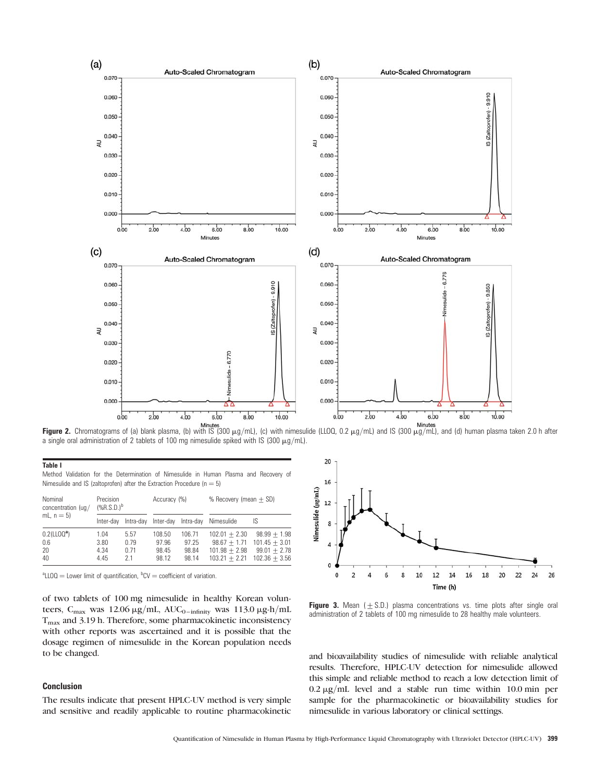<span id="page-3-0"></span>

a single oral administration of 2 tablets of 100 mg nimesulide spiked with IS (300  $\mu$ g/mL).

| Nimesulide and IS (zaltoprofen) after the Extraction Procedure ( $n = 5$ ) |                              |                            |                                   |                                   |                                                                         |                                                                        |  |  |
|----------------------------------------------------------------------------|------------------------------|----------------------------|-----------------------------------|-----------------------------------|-------------------------------------------------------------------------|------------------------------------------------------------------------|--|--|
| Nominal<br>concentration (ug/<br>mL, $n = 5$ )                             | Precision<br>$(*R.S.D.)^b$   |                            | Accuracy (%)                      |                                   | % Recovery (mean $+$ SD)                                                |                                                                        |  |  |
|                                                                            | Inter-dav                    | Intra-dav                  | Inter-day                         | Intra-dav                         | Nimesulide                                                              | IS                                                                     |  |  |
| $0.2$ (LLO $Q^a$ )<br>0.6<br>20<br>40                                      | 1.04<br>3.80<br>4.34<br>4.45 | 5.57<br>0.79<br>0.71<br>21 | 108.50<br>97.96<br>98.45<br>98.12 | 106.71<br>97.25<br>98.84<br>98.14 | $102.01 + 2.30$<br>$98.67 + 1.71$<br>$101.98 + 2.98$<br>$103.21 + 2.21$ | $98.99 + 1.98$<br>$101.45 + 3.01$<br>$99.01 + 2.78$<br>$102.36 + 3.56$ |  |  |

Method Validation for the Determination of Nimesulide in Human Plasma and Recovery of

 ${}^{\text{a}}$ LLOQ = Lower limit of quantification,  ${}^{\text{b}}$ CV = coefficient of variation.

of two tablets of 100 mg nimesulide in healthy Korean volunteers,  $C_{\text{max}}$  was 12.06  $\mu$ g/mL, AU $C_{0-\text{infinity}}$  was 113.0  $\mu$ g-h/mL  $T<sub>max</sub>$  and 3.19 h. Therefore, some pharmacokinetic inconsistency with other reports was ascertained and it is possible that the dosage regimen of nimesulide in the Korean population needs to be changed.

# Conclusion

Table I

The results indicate that present HPLC-UV method is very simple and sensitive and readily applicable to routine pharmacokinetic



Figure 3. Mean  $( \pm S.D.)$  plasma concentrations vs. time plots after single oral administration of 2 tablets of 100 mg nimesulide to 28 healthy male volunteers.

and bioavailability studies of nimesulide with reliable analytical results. Therefore, HPLC-UV detection for nimesulide allowed this simple and reliable method to reach a low detection limit of  $0.2 \mu g/mL$  level and a stable run time within 10.0 min per sample for the pharmacokinetic or bioavailability studies for nimesulide in various laboratory or clinical settings.